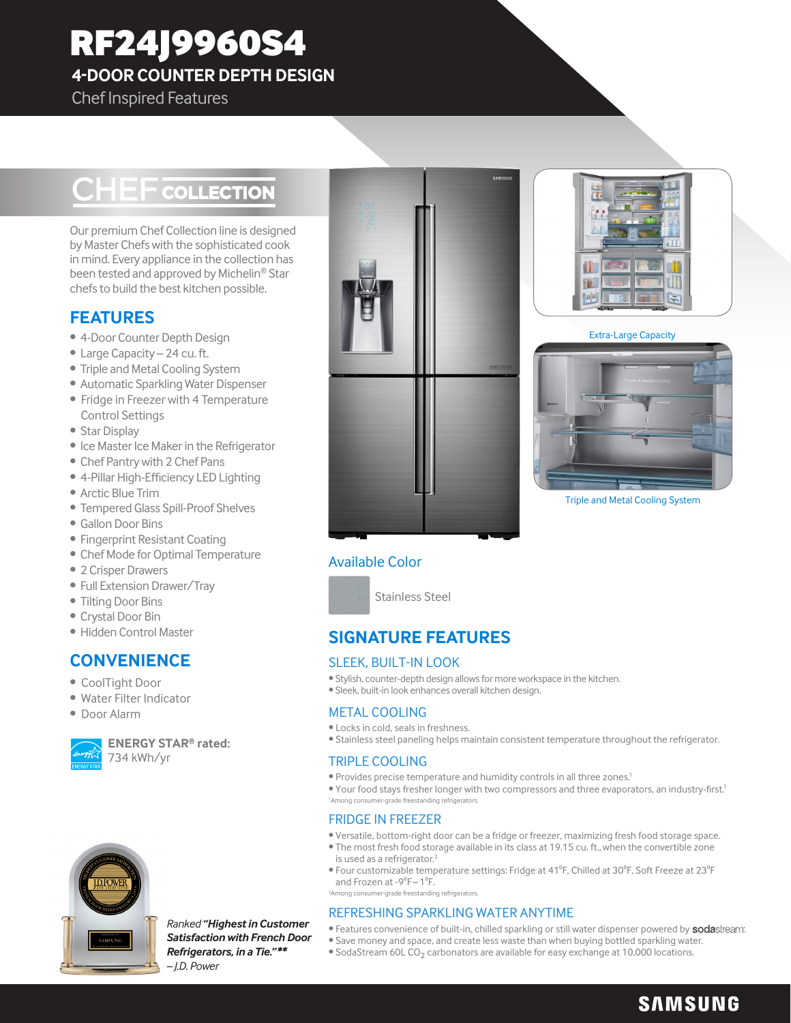# RF24J9960S4

**4-DOOR COUNTER DEPTH DESIGN**

## Chef Inspired Features

## **CHEF** COLLECTION

Our premium Chef Collection line is designed by Master Chefs with the sophisticated cook in mind. Every appliance in the collection has been tested and approved by Michelin® Star chefs to build the best kitchen possible.

## **FEATURES**

- 4-Door Counter Depth Design
- Large Capacity 24 cu. ft.
- Triple and Metal Cooling System
- Automatic Sparkling Water Dispenser
- Fridge in Freezer with 4 Temperature Control Settings
- Star Display
- Ice Master Ice Maker in the Refrigerator
- Chef Pantry with 2 Chef Pans
- 4-Pillar High-Efficiency LED Lighting
- Arctic Blue Trim
- Tempered Glass Spill-Proof Shelves
- Gallon Door Bins
- Fingerprint Resistant Coating
- Chef Mode for Optimal Temperature
- 2 Crisper Drawers
- Full Extension Drawer/Tray
- Tilting Door Bins
- Crystal Door Bin
- Hidden Control Master

## **CONVENIENCE**

- CoolTight Door
- Water Filter Indicator
- Door Alarm



**ENERGY STAR® rated:** 734 kWh/yr



*Ranked "Highest in Customer Satisfaction with French Door Refrigerators, in a Tie." \*\* – J.D. Power*





Extra-Large Capacity



Triple and Metal Cooling System

## Available Color



## **SIGNATURE FEATURES**

#### SLEEK, BUILT-IN LOOK

- Stylish, counter-depth design allows for more workspace in the kitchen.
- Sleek, built-in look enhances overall kitchen design.

#### METAL COOLING

- Locks in cold, seals in freshness.
- Stainless steel paneling helps maintain consistent temperature throughout the refrigerator.

#### TRIPLE COOLING

- Provides precise temperature and humidity controls in all three zones.1
- Your food stays fresher longer with two compressors and three evaporators, an industry-first.<sup>1</sup> 1 Among consumer-grade freestanding refrigerators.

## FRIDGE IN FREEZER

- Versatile, bottom-right door can be a fridge or freezer, maximizing fresh food storage space. • The most fresh food storage available in its class at 19.15 cu. ft., when the convertible zone
- is used as a refrigerator.<sup>2</sup> • Four customizable temperature settings: Fridge at 41°F, Chilled at 30°F, Soft Freeze at 23°F
- and Frozen at -9°F-1°F. 2 Among consumer-grade freestanding refrigerators.

#### REFRESHING SPARKLING WATER ANYTIME

- Features convenience of built-in, chilled sparkling or still water dispenser powered by sodastream.
- Save money and space, and create less waste than when buying bottled sparkling water.
- SodaStream 60L CO<sub>2</sub> carbonators are available for easy exchange at 10,000 locations.